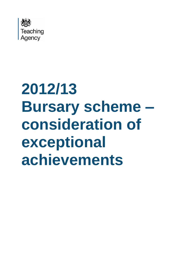

# **2012/13 Bursary scheme – consideration of exceptional achievements**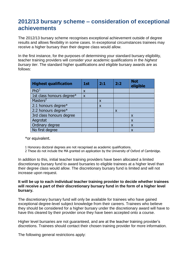## **2012/13 bursary scheme – consideration of exceptional achievements**

The 2012/13 bursary scheme recognises exceptional achievement outside of degree results and allows flexibility in some cases. In exceptional circumstances trainees may receive a higher bursary than their degree class would allow.

In the first instance, for the purposes of determining your standard bursary eligibility, teacher training providers will consider your academic qualifications in the *highest bursary tier*. The standard higher qualifications and eligible bursary awards are as follows:

| <b>Highest qualification</b> | 1st                       | 2:1                       | 2:2                       | <b>Not</b><br>eligible |
|------------------------------|---------------------------|---------------------------|---------------------------|------------------------|
| PhD <sup>1</sup>             | X                         |                           |                           |                        |
| 1st class honours degree*    | $\boldsymbol{\mathsf{x}}$ |                           |                           |                        |
| Masters <sup>2</sup>         |                           | $\boldsymbol{\mathsf{x}}$ |                           |                        |
| 2:1 honours degree*          |                           | $\boldsymbol{\mathsf{x}}$ |                           |                        |
| 2:2 honours degree*          |                           |                           | $\boldsymbol{\mathsf{x}}$ |                        |
| 3rd class honours degree     |                           |                           |                           | X                      |
| Aegrotat                     |                           |                           |                           | X                      |
| Ordinary degree              |                           |                           |                           | X                      |
| No first degree              |                           |                           |                           | X                      |

\*or equivalent.

- 1 Honorary doctoral degrees are not recognised as academic qualifications.
- 2 These do not include the MA granted on application by the University of Oxford of Cambridge.

In addition to this, initial teacher training providers have been allocated a limited discretionary bursary fund to award bursaries to eligible trainees at a higher level than their degree class would allow. The discretionary bursary fund is limited and will not increase upon request.

### **It will be up to each individual teacher training provider to decide whether trainees will receive a part of their discretionary bursary fund in the form of a higher level bursary.**

The discretionary bursary fund will only be available for trainees who have gained exceptional degree-level subject knowledge from their careers. Trainees who believe they should be considered for a higher bursary under the discretionary award will have to have this cleared by their provider once they have been accepted onto a course.

Higher level bursaries are not guaranteed, and are at the teacher training provider's discretions. Trainees should contact their chosen training provider for more information.

The following general restrictions apply: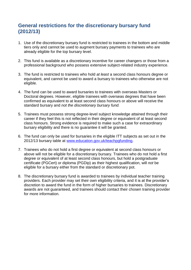## **General restrictions for the discretionary bursary fund (2012/13)**

- 1. Use of the discretionary bursary fund is restricted to trainees in the bottom and middle tiers only and cannot be used to augment bursary payments to trainees who are already eligible for the top bursary level.
- 2. This fund is available as a discretionary incentive for career changers or those from a professional background who possess extensive subject-related industry experience.
- 3. The fund is restricted to trainees who hold *at least* a second class honours degree or equivalent, and cannot be used to award a bursary to trainees who otherwise are not eligible.
- 4. The fund can be used to award bursaries to trainees with overseas Masters or Doctoral degrees. However, eligible trainees with overseas degrees that have been confirmed as equivalent to at least second class honours or above will receive the standard bursary and *not the discretionary bursary fund.*
- 5. Trainees must possess strong degree-level subject knowledge attained through their career if they feel this is not reflected in their degree or equivalent of at least second class honours. Strong evidence is required to make such a case for extraordinary bursary eligibility and there is no guarantee it will be granted.
- 6. The fund can only be used for bursaries in the eligible ITT subjects as set out in the 2012/13 bursary table at [www.education.gov.uk/teachpgfunding.](http://www.education.gov.uk/teachpgfunding)
- 7. Trainees who do not hold a first degree or equivalent at second class honours or above will not be eligible for a discretionary bursary. Trainees who do not hold a first degree or equivalent of at least second class honours, but hold a postgraduate certificate (PGCert) or diploma (PGDip) as their highest qualification, will *not* be eligible for a bursary either from the standard or discretionary pot.
- 8. The discretionary bursary fund is awarded to trainees by individual teacher training providers. Each provider may set their own eligibility criteria, and it is at the provider's discretion to award the fund in the form of higher bursaries to trainees. Discretionary awards are not guaranteed, and trainees should contact their chosen training provider for more information.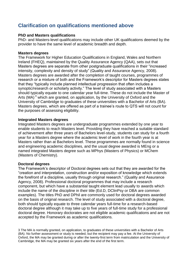## **Clarification on qualifications mentioned above**

## **PhD and Masters qualifications**

PhD- and Masters-level qualifications may include other UK qualifications deemed by the provider to have the same level of academic breadth and depth.

### **Masters degrees**

The Framework for Higher Education Qualifications in England, Wales and Northern Ireland (FHEQ), maintained by the Quality Assurance Agency (QAA), sets out that Masters degrees are separate from other postgraduate qualifications in their "increased intensity, complexity and density of study" (Quality and Assurance Agency, 2008). Masters degrees are awarded after the completion of taught courses, programmes of research or a mixture of both and the Framework's descriptor for Masters degrees states that they "typically include planned intellectual progression that often includes a synoptic/research or scholarly activity." The level of study associated with a Masters should typically equate to one calendar year full-time. These do not include the Master of Arts (MA)  $3$  which are granted, on application, by the University of Oxford and the University of Cambridge to graduates of these universities with a Bachelor of Arts (BA). Masters degrees, which are offered as part of a trainee's route to QTS will not count for the purposes of assessing eligibility.

#### **Integrated Masters degrees**

Integrated Masters degrees are undergraduate programmes extended by one year to enable students to reach Masters level. Providing they have reached a suitable standard of achievement after three years of Bachelors level-study, students can study for a fourth year for a Masters degree where the academic level of work in the fourth year is at Masters rather than at Bachelors level. These programmes are normally found in science and engineering academic disciplines, and the usual degree awarded is MEng or a named integrated Masters degree such as MPhys (Masters of Physics) or MChem (Masters of Chemistry).

## **Doctoral degrees**

The Framework's descriptor of Doctoral degrees sets out that they are awarded for the "creation and interpretation, construction and/or exposition of knowledge which extends the forefront of a discipline, usually through original research." (Quality and Assurance Agency, 2008). Professional doctoral programmes that may include a research component, but which have a substantial taught element lead usually to awards which include the name of the discipline in their title (Ed.D, DClinPsy or DBA are common examples). The titles PhD and DPhil are commonly used for doctoral degrees awarded on the basis of original research. The level of study associated with a doctoral degree, both should typically equate to three calendar years full-time for a research-based doctoral degree although it may take up to five years of full-time study for a professional doctoral degree. Honorary doctorates are not eligible academic qualifications and are not accepted by the Framework as academic qualifications.

3 The MA is normally granted, on application, to graduates of these universities with a Bachelor of Arts (BA). No further assessment or study is needed, but the recipient may pay a fee. At the University of Oxford, the MA may be granted during or after the twenty-first term from matriculation and the University of Cambridge, the MA may be granted six years after the end of the first term.